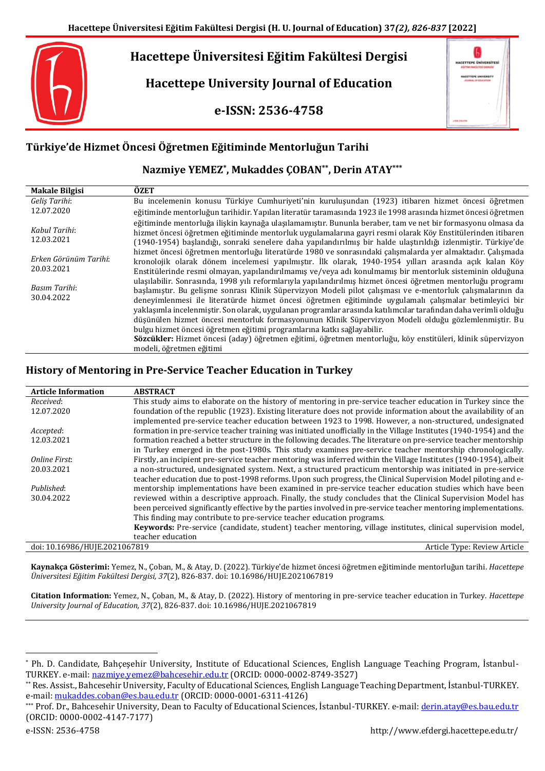# **Hacettepe Üniversitesi Eğitim Fakültesi Dergisi**

**Hacettepe University Journal of Education**

**e-ISSN: 2536-4758**

| <b>HACETTEPE ÜNIVERSITESI</b><br>ndirlər Asada rasi çəsədəl        |   |
|--------------------------------------------------------------------|---|
| <b>HACKTTEPE UNIVERSITY</b><br><b><i>ADUSTRAL CA EDUCATION</i></b> |   |
|                                                                    |   |
|                                                                    | ٠ |
|                                                                    |   |
|                                                                    |   |

## **Türkiye'de Hizmet Öncesi Öğretmen Eğitiminde Mentorluğun Tarihi**

## **Nazmiye YEMEZ\* , Mukaddes ÇOBAN\*\* , Derin ATAY\*\*\***

| <b>Makale Bilgisi</b>               | ÖZET                                                                                                                                                                                                                                                                                                                                                                                                                                                                                                                                                            |
|-------------------------------------|-----------------------------------------------------------------------------------------------------------------------------------------------------------------------------------------------------------------------------------------------------------------------------------------------------------------------------------------------------------------------------------------------------------------------------------------------------------------------------------------------------------------------------------------------------------------|
| Geliş Tarihi:                       | Bu incelemenin konusu Türkiye Cumhuriyeti'nin kuruluşundan (1923) itibaren hizmet öncesi öğretmen                                                                                                                                                                                                                                                                                                                                                                                                                                                               |
| 12.07.2020                          | eğitiminde mentorluğun tarihidir. Yapılan literatür taramasında 1923 ile 1998 arasında hizmet öncesi öğretmen                                                                                                                                                                                                                                                                                                                                                                                                                                                   |
| Kabul Tarihi:<br>12.03.2021         | eğitiminde mentorluğa ilişkin kaynağa ulaşılamamıştır. Bununla beraber, tam ve net bir formasyonu olmasa da<br>hizmet öncesi öğretmen eğitiminde mentorluk uygulamalarına gayri resmi olarak Köy Enstitülerinden itibaren<br>(1940-1954) başlandığı, sonraki senelere daha yapılandırılmış bir halde ulaştırıldığı izlenmiştir. Türkiye'de                                                                                                                                                                                                                      |
| Erken Görünüm Tarihi:<br>20.03.2021 | hizmet öncesi öğretmen mentorluğu literatürde 1980 ve sonrasındaki calısmalarda yer almaktadır. Calısmada<br>kronolojik olarak dönem incelemesi yapılmıştır. İlk olarak, 1940-1954 yılları arasında açık kalan Köy<br>Enstitülerinde resmi olmayan, yapılandırılmamış ve/veya adı konulmamış bir mentorluk sisteminin olduğuna                                                                                                                                                                                                                                  |
| Basım Tarihi:<br>30.04.2022         | ulaşılabilir. Sonrasında, 1998 yılı reformlarıyla yapılandırılmış hizmet öncesi öğretmen mentorluğu programı<br>başlamıştır. Bu gelişme sonrası Klinik Süpervizyon Modeli pilot çalışması ve e-mentorluk çalışmalarının da<br>deneyimlenmesi ile literatürde hizmet öncesi öğretmen eğitiminde uygulamalı çalışmalar betimleyici bir<br>yaklaşımla incelenmiştir. Son olarak, uygulanan programlar arasında katılımcılar tarafından daha verimli olduğu<br>düşünülen hizmet öncesi mentorluk formasyonunun Klinik Süpervizyon Modeli olduğu gözlemlenmiştir. Bu |
|                                     | bulgu hizmet öncesi öğretmen eğitimi programlarına katkı sağlayabilir.                                                                                                                                                                                                                                                                                                                                                                                                                                                                                          |
|                                     | Sözcükler: Hizmet öncesi (aday) öğretmen eğitimi, öğretmen mentorluğu, köy enstitüleri, klinik süpervizyon                                                                                                                                                                                                                                                                                                                                                                                                                                                      |
|                                     | modeli, öğretmen eğitimi                                                                                                                                                                                                                                                                                                                                                                                                                                                                                                                                        |

## **History of Mentoring in Pre-Service Teacher Education in Turkey**

| <b>Article Information</b>    | <b>ABSTRACT</b>                                                                                                    |
|-------------------------------|--------------------------------------------------------------------------------------------------------------------|
| Received:                     | This study aims to elaborate on the history of mentoring in pre-service teacher education in Turkey since the      |
| 12.07.2020                    | foundation of the republic (1923). Existing literature does not provide information about the availability of an   |
|                               | implemented pre-service teacher education between 1923 to 1998. However, a non-structured, undesignated            |
| Accepted:                     | formation in pre-service teacher training was initiated unofficially in the Village Institutes (1940-1954) and the |
| 12.03.2021                    | formation reached a better structure in the following decades. The literature on pre-service teacher mentorship    |
|                               | in Turkey emerged in the post-1980s. This study examines pre-service teacher mentorship chronologically.           |
| Online First:                 | Firstly, an incipient pre-service teacher mentoring was inferred within the Village Institutes (1940-1954), albeit |
| 20.03.2021                    | a non-structured, undesignated system. Next, a structured practicum mentorship was initiated in pre-service        |
|                               | teacher education due to post-1998 reforms. Upon such progress, the Clinical Supervision Model piloting and e-     |
| Published:                    | mentorship implementations have been examined in pre-service teacher education studies which have been             |
| 30.04.2022                    | reviewed within a descriptive approach. Finally, the study concludes that the Clinical Supervision Model has       |
|                               | been perceived significantly effective by the parties involved in pre-service teacher mentoring implementations.   |
|                               | This finding may contribute to pre-service teacher education programs.                                             |
|                               | Keywords: Pre-service (candidate, student) teacher mentoring, village institutes, clinical supervision model,      |
|                               | teacher education                                                                                                  |
| doi: 10.16986/HUJE.2021067819 | Article Type: Review Article                                                                                       |

**Kaynakça Gösterimi:** Yemez, N., Çoban, M., & Atay, D. (2022). Türkiye'de hizmet öncesi öğretmen eğitiminde mentorluğun tarihi. *Hacettepe Üniversitesi Eğitim Fakültesi Dergisi, 37*(2), 826-837. doi: 10.16986/HUJE.2021067819

**Citation Information:** Yemez, N., Çoban, M., & Atay, D. (2022). History of mentoring in pre-service teacher education in Turkey. *Hacettepe University Journal of Education, 37*(2), 826-837. doi: 10.16986/HUJE.2021067819

 $\ddot{\phantom{a}}$ 

<sup>\*</sup> Ph. D. Candidate, Bahçeşehir University, Institute of Educational Sciences, English Language Teaching Program, İstanbul-TURKEY. e-mail[: nazmiye.yemez@bahcesehir.edu.tr](mailto:nazmiye.yemez@bahcesehir.edu.tr) (ORCID: 0000-0002-8749-3527)

<sup>\*\*</sup> Res. Assist., Bahcesehir University, Faculty of Educational Sciences, English Language Teaching Department, İstanbul-TURKEY. e-mail: [mukaddes.coban@es.bau.edu.tr](mailto:mukaddes.coban@es.bau.edu.tr) (ORCID: 0000-0001-6311-4126)

<sup>\*\*\*</sup> Prof. Dr., Bahcesehir University, Dean to Faculty of Educational Sciences, İstanbul-TURKEY. e-mail: [derin.atay@es.bau.edu.tr](mailto:derin.atay@es.bau.edu.tr) (ORCID: 0000-0002-4147-7177)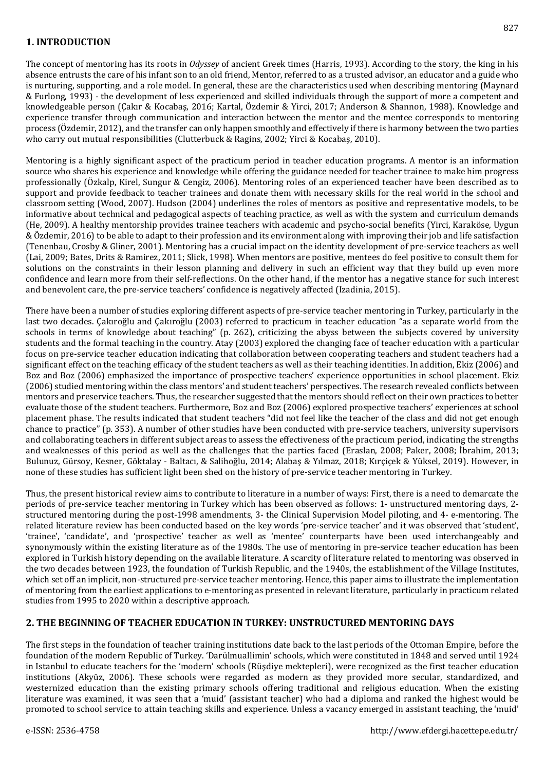## **1. INTRODUCTION**

The concept of mentoring has its roots in *Odyssey* of ancient Greek times (Harris, 1993). According to the story, the king in his absence entrusts the care of his infant son to an old friend, Mentor, referred to as a trusted advisor, an educator and a guide who is nurturing, supporting, and a role model. In general, these are the characteristics used when describing mentoring (Maynard & Furlong, 1993) - the development of less experienced and skilled individuals through the support of more a competent and knowledgeable person (Çakır & Kocabaş, 2016; Kartal, Özdemir & Yirci, 2017; Anderson & Shannon, 1988). Knowledge and experience transfer through communication and interaction between the mentor and the mentee corresponds to mentoring process (Özdemir, 2012), and the transfer can only happen smoothly and effectively if there is harmony between the two parties who carry out mutual responsibilities (Clutterbuck & Ragins, 2002; Yirci & Kocabaş, 2010).

Mentoring is a highly significant aspect of the practicum period in teacher education programs. A mentor is an information source who shares his experience and knowledge while offering the guidance needed for teacher trainee to make him progress professionally (Özkalp, Kirel, Sungur & Cengiz, 2006). Mentoring roles of an experienced teacher have been described as to support and provide feedback to teacher trainees and donate them with necessary skills for the real world in the school and classroom setting (Wood, 2007). Hudson (2004) underlines the roles of mentors as positive and representative models, to be informative about technical and pedagogical aspects of teaching practice, as well as with the system and curriculum demands (He, 2009). A healthy mentorship provides trainee teachers with academic and psycho-social benefits (Yirci, Karaköse, Uygun & Özdemir, 2016) to be able to adapt to their profession and its environment along with improving their job and life satisfaction (Tenenbau, Crosby & Gliner, 2001). Mentoring has a crucial impact on the identity development of pre-service teachers as well (Lai, 2009; Bates, Drits & Ramirez, 2011; Slick, 1998). When mentors are positive, mentees do feel positive to consult them for solutions on the constraints in their lesson planning and delivery in such an efficient way that they build up even more confidence and learn more from their self-reflections. On the other hand, if the mentor has a negative stance for such interest and benevolent care, the pre-service teachers' confidence is negatively affected (Izadinia, 2015).

There have been a number of studies exploring different aspects of pre-service teacher mentoring in Turkey, particularly in the last two decades. Çakıroğlu and Çakıroğlu (2003) referred to practicum in teacher education "as a separate world from the schools in terms of knowledge about teaching" (p. 262), criticizing the abyss between the subjects covered by university students and the formal teaching in the country. Atay (2003) explored the changing face of teacher education with a particular focus on pre-service teacher education indicating that collaboration between cooperating teachers and student teachers had a significant effect on the teaching efficacy of the student teachers as well as their teaching identities. In addition, Ekiz (2006) and Boz and Boz (2006) emphasized the importance of prospective teachers' experience opportunities in school placement. Ekiz (2006) studied mentoring within the class mentors' and student teachers' perspectives. The research revealed conflicts between mentors and preservice teachers. Thus, the researcher suggested that the mentors should reflect on their own practices to better evaluate those of the student teachers. Furthermore, Boz and Boz (2006) explored prospective teachers' experiences at school placement phase. The results indicated that student teachers "did not feel like the teacher of the class and did not get enough chance to practice" (p. 353). A number of other studies have been conducted with pre-service teachers, university supervisors and collaborating teachers in different subject areas to assess the effectiveness of the practicum period, indicating the strengths and weaknesses of this period as well as the challenges that the parties faced (Eraslan, 2008; Paker, 2008; İbrahim, 2013; Bulunuz, Gürsoy, Kesner, Göktalay - Baltacı, & Salihoğlu, 2014; Alabaş & Yılmaz, 2018; Kırçiçek & Yüksel, 2019). However, in none of these studies has sufficient light been shed on the history of pre-service teacher mentoring in Turkey.

Thus, the present historical review aims to contribute to literature in a number of ways: First, there is a need to demarcate the periods of pre-service teacher mentoring in Turkey which has been observed as follows: 1- unstructured mentoring days, 2 structured mentoring during the post-1998 amendments, 3- the Clinical Supervision Model piloting, and 4- e-mentoring. The related literature review has been conducted based on the key words 'pre-service teacher' and it was observed that 'student', 'trainee', 'candidate', and 'prospective' teacher as well as 'mentee' counterparts have been used interchangeably and synonymously within the existing literature as of the 1980s. The use of mentoring in pre-service teacher education has been explored in Turkish history depending on the available literature. A scarcity of literature related to mentoring was observed in the two decades between 1923, the foundation of Turkish Republic, and the 1940s, the establishment of the Village Institutes, which set off an implicit, non-structured pre-service teacher mentoring. Hence, this paper aims to illustrate the implementation of mentoring from the earliest applications to e-mentoring as presented in relevant literature, particularly in practicum related studies from 1995 to 2020 within a descriptive approach.

## **2. THE BEGINNING OF TEACHER EDUCATION IN TURKEY: UNSTRUCTURED MENTORING DAYS**

The first steps in the foundation of teacher training institutions date back to the last periods of the Ottoman Empire, before the foundation of the modern Republic of Turkey. 'Darülmuallimin' schools, which were constituted in 1848 and served until 1924 in Istanbul to educate teachers for the 'modern' schools (Rüşdiye mektepleri), were recognized as the first teacher education institutions (Akyüz, 2006). These schools were regarded as modern as they provided more secular, standardized, and westernized education than the existing primary schools offering traditional and religious education. When the existing literature was examined, it was seen that a 'muid' (assistant teacher) who had a diploma and ranked the highest would be promoted to school service to attain teaching skills and experience. Unless a vacancy emerged in assistant teaching, the 'muid'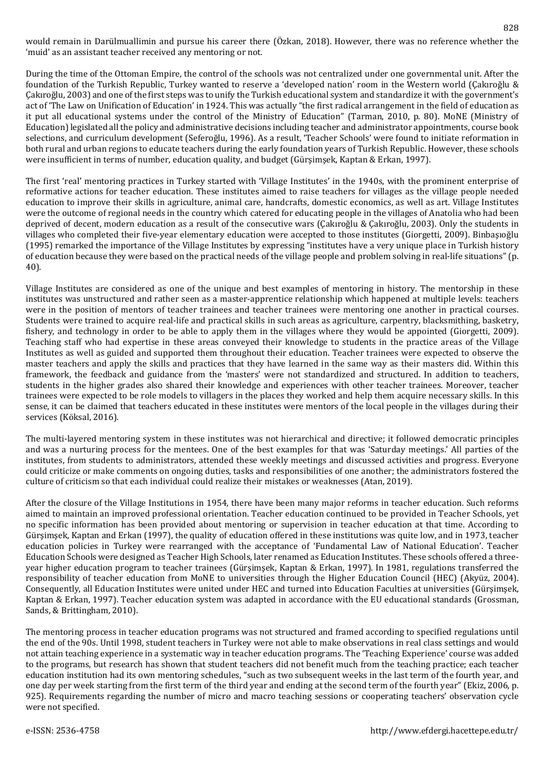would remain in Darülmuallimin and pursue his career there (Özkan, 2018). However, there was no reference whether the 'muid' as an assistant teacher received any mentoring or not.

During the time of the Ottoman Empire, the control of the schools was not centralized under one governmental unit. After the foundation of the Turkish Republic, Turkey wanted to reserve a 'developed nation' room in the Western world (Çakıroğlu & Çakıroğlu, 2003) and one of the first steps was to unify the Turkish educational system and standardize it with the government's act of 'The Law on Unification of Education' in 1924. This was actually "the first radical arrangement in the field of education as it put all educational systems under the control of the Ministry of Education" (Tarman, 2010, p. 80). MoNE (Ministry of Education)legislated all the policy and administrative decisions including teacher and administrator appointments, course book selections, and curriculum development (Seferoğlu, 1996). As a result, 'Teacher Schools' were found to initiate reformation in both rural and urban regions to educate teachers during the early foundation years of Turkish Republic. However, these schools were insufficient in terms of number, education quality, and budget (Gürşimşek, Kaptan & Erkan, 1997).

The first 'real' mentoring practices in Turkey started with 'Village Institutes' in the 1940s, with the prominent enterprise of reformative actions for teacher education. These institutes aimed to raise teachers for villages as the village people needed education to improve their skills in agriculture, animal care, handcrafts, domestic economics, as well as art. Village Institutes were the outcome of regional needs in the country which catered for educating people in the villages of Anatolia who had been deprived of decent, modern education as a result of the consecutive wars (Çakıroğlu & Çakıroğlu, 2003). Only the students in villages who completed their five-year elementary education were accepted to those institutes (Giorgetti, 2009). Binbaşıoğlu (1995) remarked the importance of the Village Institutes by expressing "institutes have a very unique place in Turkish history of education because they were based on the practical needs of the village people and problem solving in real-life situations" (p. 40).

Village Institutes are considered as one of the unique and best examples of mentoring in history. The mentorship in these institutes was unstructured and rather seen as a master-apprentice relationship which happened at multiple levels: teachers were in the position of mentors of teacher trainees and teacher trainees were mentoring one another in practical courses. Students were trained to acquire real-life and practical skills in such areas as agriculture, carpentry, blacksmithing, basketry, fishery, and technology in order to be able to apply them in the villages where they would be appointed (Giorgetti, 2009). Teaching staff who had expertise in these areas conveyed their knowledge to students in the practice areas of the Village Institutes as well as guided and supported them throughout their education. Teacher trainees were expected to observe the master teachers and apply the skills and practices that they have learned in the same way as their masters did. Within this framework, the feedback and guidance from the 'masters' were not standardized and structured. In addition to teachers, students in the higher grades also shared their knowledge and experiences with other teacher trainees. Moreover, teacher trainees were expected to be role models to villagers in the places they worked and help them acquire necessary skills. In this sense, it can be claimed that teachers educated in these institutes were mentors of the local people in the villages during their services (Köksal, 2016).

The multi-layered mentoring system in these institutes was not hierarchical and directive; it followed democratic principles and was a nurturing process for the mentees. One of the best examples for that was 'Saturday meetings.' All parties of the institutes, from students to administrators, attended these weekly meetings and discussed activities and progress. Everyone could criticize or make comments on ongoing duties, tasks and responsibilities of one another; the administrators fostered the culture of criticism so that each individual could realize their mistakes or weaknesses (Atan, 2019).

After the closure of the Village Institutions in 1954, there have been many major reforms in teacher education. Such reforms aimed to maintain an improved professional orientation. Teacher education continued to be provided in Teacher Schools, yet no specific information has been provided about mentoring or supervision in teacher education at that time. According to Gürşimşek, Kaptan and Erkan (1997), the quality of education offered in these institutions was quite low, and in 1973, teacher education policies in Turkey were rearranged with the acceptance of 'Fundamental Law of National Education'. Teacher Education Schools were designed as Teacher High Schools, later renamed as Education Institutes. These schools offered a threeyear higher education program to teacher trainees (Gürşimşek, Kaptan & Erkan, 1997). In 1981, regulations transferred the responsibility of teacher education from MoNE to universities through the Higher Education Council (HEC) (Akyüz, 2004). Consequently, all Education Institutes were united under HEC and turned into Education Faculties at universities (Gürşimşek, Kaptan & Erkan, 1997). Teacher education system was adapted in accordance with the EU educational standards (Grossman, Sands, & Brittingham, 2010).

The mentoring process in teacher education programs was not structured and framed according to specified regulations until the end of the 90s. Until 1998, student teachers in Turkey were not able to make observations in real class settings and would not attain teaching experience in a systematic way in teacher education programs. The 'Teaching Experience' course was added to the programs, but research has shown that student teachers did not benefit much from the teaching practice; each teacher education institution had its own mentoring schedules, "such as two subsequent weeks in the last term of the fourth year, and one day per week starting from the first term of the third year and ending at the second term of the fourth year" (Ekiz, 2006, p. 925). Requirements regarding the number of micro and macro teaching sessions or cooperating teachers' observation cycle were not specified.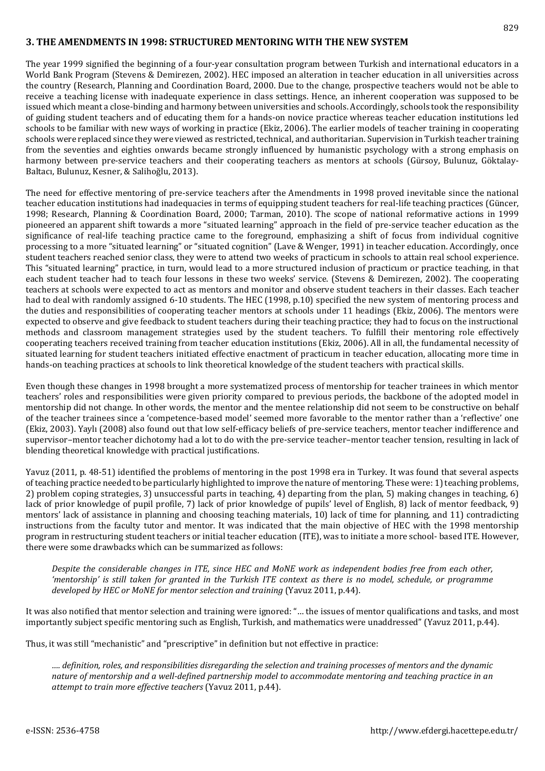## **3. THE AMENDMENTS IN 1998: STRUCTURED MENTORING WITH THE NEW SYSTEM**

The year 1999 signified the beginning of a four-year consultation program between Turkish and international educators in a World Bank Program (Stevens & Demirezen, 2002). HEC imposed an alteration in teacher education in all universities across the country (Research, Planning and Coordination Board, 2000. Due to the change, prospective teachers would not be able to receive a teaching license with inadequate experience in class settings. Hence, an inherent cooperation was supposed to be issued which meant a close-binding and harmony between universities and schools. Accordingly, schools took the responsibility of guiding student teachers and of educating them for a hands-on novice practice whereas teacher education institutions led schools to be familiar with new ways of working in practice (Ekiz, 2006). The earlier models of teacher training in cooperating schools were replaced since they were viewed as restricted, technical, and authoritarian. Supervision in Turkish teacher training from the seventies and eighties onwards became strongly influenced by humanistic psychology with a strong emphasis on harmony between pre-service teachers and their cooperating teachers as mentors at schools (Gürsoy, Bulunuz, Göktalay-Baltacı, Bulunuz, Kesner, & Salihoğlu, 2013).

The need for effective mentoring of pre-service teachers after the Amendments in 1998 proved inevitable since the national teacher education institutions had inadequacies in terms of equipping student teachers for real-life teaching practices (Güncer, 1998; Research, Planning & Coordination Board, 2000; Tarman, 2010). The scope of national reformative actions in 1999 pioneered an apparent shift towards a more "situated learning" approach in the field of pre-service teacher education as the significance of real-life teaching practice came to the foreground, emphasizing a shift of focus from individual cognitive processing to a more "situated learning" or "situated cognition" (Lave & Wenger, 1991) in teacher education. Accordingly, once student teachers reached senior class, they were to attend two weeks of practicum in schools to attain real school experience. This "situated learning" practice, in turn, would lead to a more structured inclusion of practicum or practice teaching, in that each student teacher had to teach four lessons in these two weeks' service. (Stevens & Demirezen, 2002). The cooperating teachers at schools were expected to act as mentors and monitor and observe student teachers in their classes. Each teacher had to deal with randomly assigned 6-10 students. The HEC (1998, p.10) specified the new system of mentoring process and the duties and responsibilities of cooperating teacher mentors at schools under 11 headings (Ekiz, 2006). The mentors were expected to observe and give feedback to student teachers during their teaching practice; they had to focus on the instructional methods and classroom management strategies used by the student teachers. To fulfill their mentoring role effectively cooperating teachers received training from teacher education institutions (Ekiz, 2006). All in all, the fundamental necessity of situated learning for student teachers initiated effective enactment of practicum in teacher education, allocating more time in hands-on teaching practices at schools to link theoretical knowledge of the student teachers with practical skills.

Even though these changes in 1998 brought a more systematized process of mentorship for teacher trainees in which mentor teachers' roles and responsibilities were given priority compared to previous periods, the backbone of the adopted model in mentorship did not change. In other words, the mentor and the mentee relationship did not seem to be constructive on behalf of the teacher trainees since a 'competence-based model' seemed more favorable to the mentor rather than a 'reflective' one (Ekiz, 2003). Yaylı (2008) also found out that low self-efficacy beliefs of pre-service teachers, mentor teacher indifference and supervisor–mentor teacher dichotomy had a lot to do with the pre-service teacher–mentor teacher tension, resulting in lack of blending theoretical knowledge with practical justifications.

Yavuz (2011, p. 48-51) identified the problems of mentoring in the post 1998 era in Turkey. It was found that several aspects of teaching practice needed to be particularly highlighted to improve the nature of mentoring. These were: 1) teaching problems, 2) problem coping strategies, 3) unsuccessful parts in teaching, 4) departing from the plan, 5) making changes in teaching, 6) lack of prior knowledge of pupil profile, 7) lack of prior knowledge of pupils' level of English, 8) lack of mentor feedback, 9) mentors' lack of assistance in planning and choosing teaching materials, 10) lack of time for planning, and 11) contradicting instructions from the faculty tutor and mentor. It was indicated that the main objective of HEC with the 1998 mentorship program in restructuring student teachers or initial teacher education (ITE), was to initiate a more school- based ITE. However, there were some drawbacks which can be summarized as follows:

Despite the considerable changes in ITE, since HEC and MoNE work as independent bodies free from each other, 'mentorship' is still taken for granted in the Turkish ITE context as there is no model, schedule, or programme *developed by HEC or MoNE for mentor selection and training* (Yavuz 2011, p.44).

It was also notified that mentor selection and training were ignored: "… the issues of mentor qualifications and tasks, and most importantly subject specific mentoring such as English, Turkish, and mathematics were unaddressed" (Yavuz 2011, p.44).

Thus, it was still "mechanistic" and "prescriptive" in definition but not effective in practice:

.... definition, roles, and responsibilities disregarding the selection and training processes of mentors and the dynamic *nature of mentorship and a well-defined partnership model to accommodate mentoring and teaching practice in an attempt to train more effective teachers* (Yavuz 2011, p.44).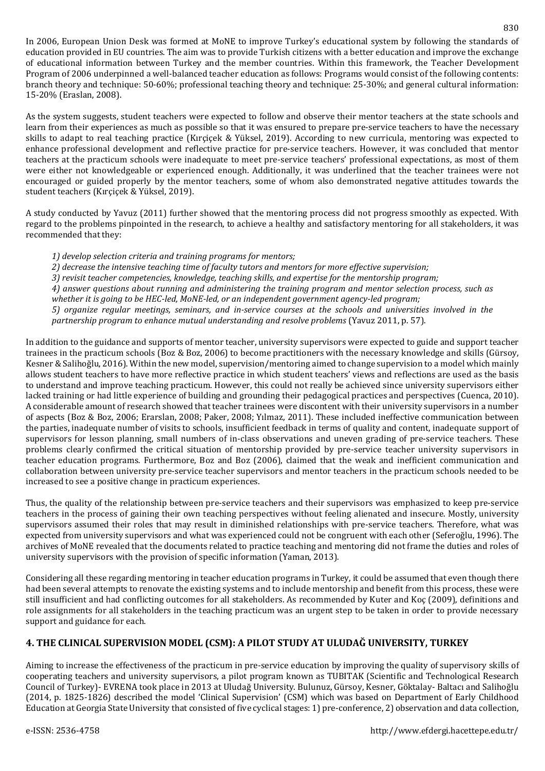In 2006, European Union Desk was formed at MoNE to improve Turkey's educational system by following the standards of education provided in EU countries. The aim was to provide Turkish citizens with a better education and improve the exchange of educational information between Turkey and the member countries. Within this framework, the Teacher Development Program of 2006 underpinned a well-balanced teacher education as follows: Programs would consist of the following contents: branch theory and technique: 50-60%; professional teaching theory and technique: 25-30%; and general cultural information: 15-20% (Eraslan, 2008).

As the system suggests, student teachers were expected to follow and observe their mentor teachers at the state schools and learn from their experiences as much as possible so that it was ensured to prepare pre-service teachers to have the necessary skills to adapt to real teaching practice (Kırçiçek & Yüksel, 2019). According to new curricula, mentoring was expected to enhance professional development and reflective practice for pre-service teachers. However, it was concluded that mentor teachers at the practicum schools were inadequate to meet pre-service teachers' professional expectations, as most of them were either not knowledgeable or experienced enough. Additionally, it was underlined that the teacher trainees were not encouraged or guided properly by the mentor teachers, some of whom also demonstrated negative attitudes towards the student teachers (Kırçiçek & Yüksel, 2019).

A study conducted by Yavuz (2011) further showed that the mentoring process did not progress smoothly as expected. With regard to the problems pinpointed in the research, to achieve a healthy and satisfactory mentoring for all stakeholders, it was recommended that they:

*1) develop selection criteria and training programs for mentors;*

*2) decrease the intensive teaching time of faculty tutors and mentors for more effective supervision;*

*3) revisit teacher competencies, knowledge, teaching skills, and expertise for the mentorship program;*

*4) answer questions about running and administering the training program and mentor selection process, such as whether it is going to be HEC-led, MoNE-led, or an independent government agency-led program;*

*5) organize regular meetings, seminars, and in-service courses at the schools and universities involved in the partnership program to enhance mutual understanding and resolve problems* (Yavuz 2011, p. 57).

In addition to the guidance and supports of mentor teacher, university supervisors were expected to guide and support teacher trainees in the practicum schools (Boz & Boz, 2006) to become practitioners with the necessary knowledge and skills (Gürsoy, Kesner & Salihoğlu, 2016). Within the new model, supervision/mentoring aimed to change supervision to a model which mainly allows student teachers to have more reflective practice in which student teachers' views and reflections are used as the basis to understand and improve teaching practicum. However, this could not really be achieved since university supervisors either lacked training or had little experience of building and grounding their pedagogical practices and perspectives (Cuenca, 2010). A considerable amount of research showed that teacher trainees were discontent with their university supervisors in a number of aspects (Boz & Boz, 2006; Erarslan, 2008; Paker, 2008; Yılmaz, 2011). These included ineffective communication between the parties, inadequate number of visits to schools, insufficient feedback in terms of quality and content, inadequate support of supervisors for lesson planning, small numbers of in-class observations and uneven grading of pre-service teachers. These problems clearly confirmed the critical situation of mentorship provided by pre-service teacher university supervisors in teacher education programs. Furthermore, Boz and Boz (2006), claimed that the weak and inefficient communication and collaboration between university pre-service teacher supervisors and mentor teachers in the practicum schools needed to be increased to see a positive change in practicum experiences.

Thus, the quality of the relationship between pre-service teachers and their supervisors was emphasized to keep pre-service teachers in the process of gaining their own teaching perspectives without feeling alienated and insecure. Mostly, university supervisors assumed their roles that may result in diminished relationships with pre-service teachers. Therefore, what was expected from university supervisors and what was experienced could not be congruent with each other (Seferoğlu, 1996). The archives of MoNE revealed that the documents related to practice teaching and mentoring did not frame the duties and roles of university supervisors with the provision of specific information (Yaman, 2013).

Considering all these regarding mentoring in teacher education programs in Turkey, it could be assumed that even though there had been several attempts to renovate the existing systems and to include mentorship and benefit from this process, these were still insufficient and had conflicting outcomes for all stakeholders. As recommended by Kuter and Koç (2009), definitions and role assignments for all stakeholders in the teaching practicum was an urgent step to be taken in order to provide necessary support and guidance for each.

## **4. THE CLINICAL SUPERVISION MODEL (CSM): A PILOT STUDY AT ULUDAĞ UNIVERSITY, TURKEY**

Aiming to increase the effectiveness of the practicum in pre-service education by improving the quality of supervisory skills of cooperating teachers and university supervisors, a pilot program known as TUBITAK (Scientific and Technological Research Council of Turkey)- EVRENA took place in 2013 at Uludağ University. Bulunuz, Gürsoy, Kesner, Göktalay- Baltacı and Salihoğlu (2014, p. 1825-1826) described the model 'Clinical Supervision' (CSM) which was based on Department of Early Childhood Education at Georgia State University that consisted of five cyclical stages: 1) pre-conference, 2) observation and data collection,

830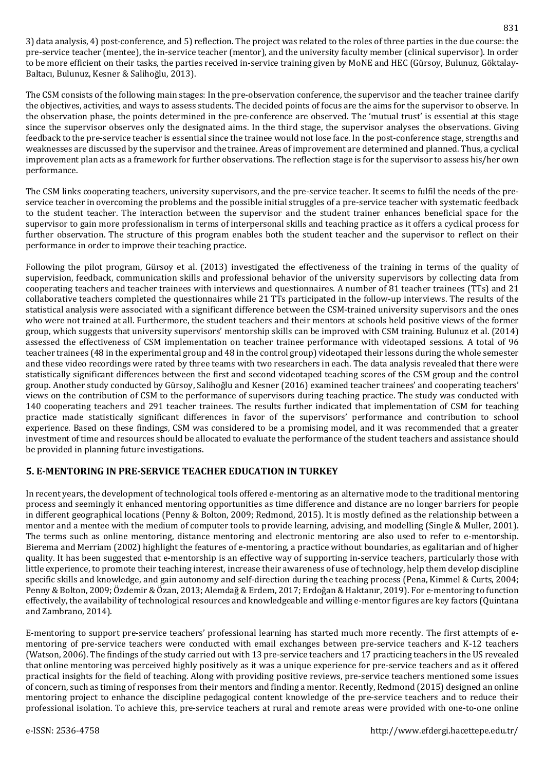3) data analysis, 4) post-conference, and 5) reflection. The project was related to the roles of three parties in the due course: the pre-service teacher (mentee), the in-service teacher (mentor), and the university faculty member (clinical supervisor). In order to be more efficient on their tasks, the parties received in-service training given by MoNE and HEC (Gürsoy, Bulunuz, Göktalay-Baltacı, Bulunuz, Kesner & Salihoğlu, 2013).

The CSM consists of the following main stages: In the pre-observation conference, the supervisor and the teacher trainee clarify the objectives, activities, and ways to assess students. The decided points of focus are the aims for the supervisor to observe. In the observation phase, the points determined in the pre-conference are observed. The 'mutual trust' is essential at this stage since the supervisor observes only the designated aims. In the third stage, the supervisor analyses the observations. Giving feedback to the pre-service teacher is essential since the trainee would not lose face. In the post-conference stage, strengths and weaknesses are discussed by the supervisor and the trainee. Areas of improvement are determined and planned. Thus, a cyclical improvement plan acts as a framework for further observations. The reflection stage is for the supervisor to assess his/her own performance.

The CSM links cooperating teachers, university supervisors, and the pre-service teacher. It seems to fulfil the needs of the preservice teacher in overcoming the problems and the possible initial struggles of a pre-service teacher with systematic feedback to the student teacher. The interaction between the supervisor and the student trainer enhances beneficial space for the supervisor to gain more professionalism in terms of interpersonal skills and teaching practice as it offers a cyclical process for further observation. The structure of this program enables both the student teacher and the supervisor to reflect on their performance in order to improve their teaching practice.

Following the pilot program, Gürsoy et al. (2013) investigated the effectiveness of the training in terms of the quality of supervision, feedback, communication skills and professional behavior of the university supervisors by collecting data from cooperating teachers and teacher trainees with interviews and questionnaires. A number of 81 teacher trainees (TTs) and 21 collaborative teachers completed the questionnaires while 21 TTs participated in the follow-up interviews. The results of the statistical analysis were associated with a significant difference between the CSM-trained university supervisors and the ones who were not trained at all. Furthermore, the student teachers and their mentors at schools held positive views of the former group, which suggests that university supervisors' mentorship skills can be improved with CSM training. Bulunuz et al. (2014) assessed the effectiveness of CSM implementation on teacher trainee performance with videotaped sessions. A total of 96 teacher trainees (48 in the experimental group and 48 in the control group) videotaped their lessons during the whole semester and these video recordings were rated by three teams with two researchers in each. The data analysis revealed that there were statistically significant differences between the first and second videotaped teaching scores of the CSM group and the control group. Another study conducted by Gürsoy, Salihoğlu and Kesner (2016) examined teacher trainees' and cooperating teachers' views on the contribution of CSM to the performance of supervisors during teaching practice. The study was conducted with 140 cooperating teachers and 291 teacher trainees. The results further indicated that implementation of CSM for teaching practice made statistically significant differences in favor of the supervisors' performance and contribution to school experience. Based on these findings, CSM was considered to be a promising model, and it was recommended that a greater investment of time and resources should be allocated to evaluate the performance of the student teachers and assistance should be provided in planning future investigations.

## **5. E-MENTORING IN PRE-SERVICE TEACHER EDUCATION IN TURKEY**

In recent years, the development of technological tools offered e-mentoring as an alternative mode to the traditional mentoring process and seemingly it enhanced mentoring opportunities as time difference and distance are no longer barriers for people in different geographical locations (Penny & Bolton, 2009; Redmond, 2015). It is mostly defined as the relationship between a mentor and a mentee with the medium of computer tools to provide learning, advising, and modelling (Single & Muller, 2001). The terms such as online mentoring, distance mentoring and electronic mentoring are also used to refer to e-mentorship. Bierema and Merriam (2002) highlight the features of e-mentoring, a practice without boundaries, as egalitarian and of higher quality. It has been suggested that e-mentorship is an effective way of supporting in-service teachers, particularly those with little experience, to promote their teaching interest, increase their awareness of use of technology, help them develop discipline specific skills and knowledge, and gain autonomy and self-direction during the teaching process (Pena, Kimmel & Curts, 2004; Penny & Bolton, 2009; Özdemir & Özan, 2013; Alemdağ & Erdem, 2017; Erdoğan & Haktanır, 2019). For e-mentoring to function effectively, the availability of technological resources and knowledgeable and willing e-mentor figures are key factors (Quintana and Zambrano, 2014).

E-mentoring to support pre-service teachers' professional learning has started much more recently. The first attempts of ementoring of pre-service teachers were conducted with email exchanges between pre-service teachers and K-12 teachers (Watson, 2006). The findings of the study carried out with 13 pre-service teachers and 17 practicing teachers in the US revealed that online mentoring was perceived highly positively as it was a unique experience for pre-service teachers and as it offered practical insights for the field of teaching. Along with providing positive reviews, pre-service teachers mentioned some issues of concern, such as timing of responses from their mentors and finding a mentor. Recently, Redmond (2015) designed an online mentoring project to enhance the discipline pedagogical content knowledge of the pre-service teachers and to reduce their professional isolation. To achieve this, pre-service teachers at rural and remote areas were provided with one-to-one online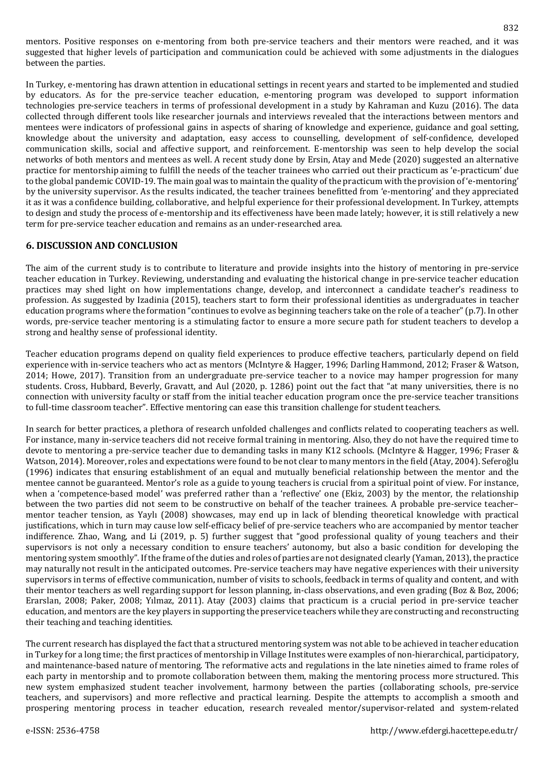mentors. Positive responses on e-mentoring from both pre-service teachers and their mentors were reached, and it was suggested that higher levels of participation and communication could be achieved with some adjustments in the dialogues between the parties.

In Turkey, e-mentoring has drawn attention in educational settings in recent years and started to be implemented and studied by educators. As for the pre-service teacher education, e-mentoring program was developed to support information technologies pre-service teachers in terms of professional development in a study by Kahraman and Kuzu (2016). The data collected through different tools like researcher journals and interviews revealed that the interactions between mentors and mentees were indicators of professional gains in aspects of sharing of knowledge and experience, guidance and goal setting, knowledge about the university and adaptation, easy access to counselling, development of self-confidence, developed communication skills, social and affective support, and reinforcement. E-mentorship was seen to help develop the social networks of both mentors and mentees as well. A recent study done by Ersin, Atay and Mede (2020) suggested an alternative practice for mentorship aiming to fulfill the needs of the teacher trainees who carried out their practicum as 'e-practicum' due to the global pandemic COVID-19. The main goal was to maintain the quality of the practicum with the provision of 'e-mentoring' by the university supervisor. As the results indicated, the teacher trainees benefitted from 'e-mentoring' and they appreciated it as it was a confidence building, collaborative, and helpful experience for their professional development. In Turkey, attempts to design and study the process of e-mentorship and its effectiveness have been made lately; however, it is still relatively a new term for pre-service teacher education and remains as an under-researched area.

#### **6. DISCUSSION AND CONCLUSION**

The aim of the current study is to contribute to literature and provide insights into the history of mentoring in pre-service teacher education in Turkey. Reviewing, understanding and evaluating the historical change in pre-service teacher education practices may shed light on how implementations change, develop, and interconnect a candidate teacher's readiness to profession. As suggested by Izadinia (2015), teachers start to form their professional identities as undergraduates in teacher education programs where the formation "continues to evolve as beginning teachers take on the role of a teacher"(p.7). In other words, pre-service teacher mentoring is a stimulating factor to ensure a more secure path for student teachers to develop a strong and healthy sense of professional identity.

Teacher education programs depend on quality field experiences to produce effective teachers, particularly depend on field experience with in-service teachers who act as mentors (McIntyre & Hagger, 1996; Darling Hammond, 2012; Fraser & Watson, 2014; Howe, 2017). Transition from an undergraduate pre-service teacher to a novice may hamper progression for many students. Cross, Hubbard, Beverly, Gravatt, and Aul (2020, p. 1286) point out the fact that "at many universities, there is no connection with university faculty or staff from the initial teacher education program once the pre-service teacher transitions to full-time classroom teacher". Effective mentoring can ease this transition challenge for student teachers.

In search for better practices, a plethora of research unfolded challenges and conflicts related to cooperating teachers as well. For instance, many in-service teachers did not receive formal training in mentoring. Also, they do not have the required time to devote to mentoring a pre-service teacher due to demanding tasks in many K12 schools. (McIntyre & Hagger, 1996; Fraser & Watson, 2014). Moreover, roles and expectations were found to be not clear to many mentors in the field (Atay, 2004). Seferoğlu (1996) indicates that ensuring establishment of an equal and mutually beneficial relationship between the mentor and the mentee cannot be guaranteed. Mentor's role as a guide to young teachers is crucial from a spiritual point of view. For instance, when a 'competence-based model' was preferred rather than a 'reflective' one (Ekiz, 2003) by the mentor, the relationship between the two parties did not seem to be constructive on behalf of the teacher trainees. A probable pre-service teacher– mentor teacher tension, as Yaylı (2008) showcases, may end up in lack of blending theoretical knowledge with practical justifications, which in turn may cause low self-efficacy belief of pre-service teachers who are accompanied by mentor teacher indifference. Zhao, Wang, and Li (2019, p. 5) further suggest that "good professional quality of young teachers and their supervisors is not only a necessary condition to ensure teachers' autonomy, but also a basic condition for developing the mentoring system smoothly". If the frame of the duties and roles of parties are not designated clearly (Yaman, 2013), the practice may naturally not result in the anticipated outcomes. Pre-service teachers may have negative experiences with their university supervisors in terms of effective communication, number of visits to schools, feedback in terms of quality and content, and with their mentor teachers as well regarding support for lesson planning, in-class observations, and even grading (Boz & Boz, 2006; Erarslan, 2008; Paker, 2008; Yılmaz, 2011). Atay (2003) claims that practicum is a crucial period in pre-service teacher education, and mentors are the key players in supporting the preservice teachers while they are constructing and reconstructing their teaching and teaching identities.

The current research has displayed the fact that a structured mentoring system was not able to be achieved in teacher education in Turkey for a long time; the first practices of mentorship in Village Institutes were examples of non-hierarchical, participatory, and maintenance-based nature of mentoring. The reformative acts and regulations in the late nineties aimed to frame roles of each party in mentorship and to promote collaboration between them, making the mentoring process more structured. This new system emphasized student teacher involvement, harmony between the parties (collaborating schools, pre-service teachers, and supervisors) and more reflective and practical learning. Despite the attempts to accomplish a smooth and prospering mentoring process in teacher education, research revealed mentor/supervisor-related and system-related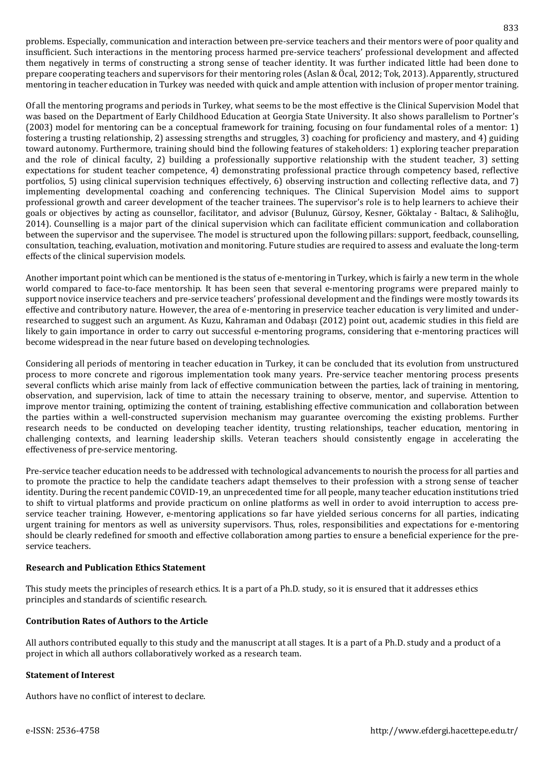problems. Especially, communication and interaction between pre-service teachers and their mentors were of poor quality and insufficient. Such interactions in the mentoring process harmed pre-service teachers' professional development and affected them negatively in terms of constructing a strong sense of teacher identity. It was further indicated little had been done to prepare cooperating teachers and supervisors for their mentoring roles (Aslan & Öcal, 2012; Tok, 2013). Apparently, structured mentoring in teacher education in Turkey was needed with quick and ample attention with inclusion of proper mentor training.

Of all the mentoring programs and periods in Turkey, what seems to be the most effective is the Clinical Supervision Model that was based on the Department of Early Childhood Education at Georgia State University. It also shows parallelism to Portner's (2003) model for mentoring can be a conceptual framework for training, focusing on four fundamental roles of a mentor: 1) fostering a trusting relationship, 2) assessing strengths and struggles, 3) coaching for proficiency and mastery, and 4) guiding toward autonomy. Furthermore, training should bind the following features of stakeholders: 1) exploring teacher preparation and the role of clinical faculty, 2) building a professionally supportive relationship with the student teacher, 3) setting expectations for student teacher competence, 4) demonstrating professional practice through competency based, reflective portfolios, 5) using clinical supervision techniques effectively, 6) observing instruction and collecting reflective data, and 7) implementing developmental coaching and conferencing techniques. The Clinical Supervision Model aims to support professional growth and career development of the teacher trainees. The supervisor's role is to help learners to achieve their goals or objectives by acting as counsellor, facilitator, and advisor (Bulunuz, Gürsoy, Kesner, Göktalay - Baltacı, & Salihoğlu, 2014). Counselling is a major part of the clinical supervision which can facilitate efficient communication and collaboration between the supervisor and the supervisee. The model is structured upon the following pillars: support, feedback, counselling, consultation, teaching, evaluation, motivation and monitoring. Future studies are required to assess and evaluate the long-term effects of the clinical supervision models.

Another important point which can be mentioned is the status of e-mentoring in Turkey, which is fairly a new term in the whole world compared to face-to-face mentorship. It has been seen that several e-mentoring programs were prepared mainly to support novice inservice teachers and pre-service teachers' professional development and the findings were mostly towards its effective and contributory nature. However, the area of e-mentoring in preservice teacher education is very limited and underresearched to suggest such an argument. As Kuzu, Kahraman and Odabaşı (2012) point out, academic studies in this field are likely to gain importance in order to carry out successful e-mentoring programs, considering that e-mentoring practices will become widespread in the near future based on developing technologies.

Considering all periods of mentoring in teacher education in Turkey, it can be concluded that its evolution from unstructured process to more concrete and rigorous implementation took many years. Pre-service teacher mentoring process presents several conflicts which arise mainly from lack of effective communication between the parties, lack of training in mentoring, observation, and supervision, lack of time to attain the necessary training to observe, mentor, and supervise. Attention to improve mentor training, optimizing the content of training, establishing effective communication and collaboration between the parties within a well-constructed supervision mechanism may guarantee overcoming the existing problems. Further research needs to be conducted on developing teacher identity, trusting relationships, teacher education, mentoring in challenging contexts, and learning leadership skills. Veteran teachers should consistently engage in accelerating the effectiveness of pre-service mentoring.

Pre-service teacher education needs to be addressed with technological advancements to nourish the process for all parties and to promote the practice to help the candidate teachers adapt themselves to their profession with a strong sense of teacher identity. During the recent pandemic COVID-19, an unprecedented time for all people, many teacher education institutions tried to shift to virtual platforms and provide practicum on online platforms as well in order to avoid interruption to access preservice teacher training. However, e-mentoring applications so far have yielded serious concerns for all parties, indicating urgent training for mentors as well as university supervisors. Thus, roles, responsibilities and expectations for e-mentoring should be clearly redefined for smooth and effective collaboration among parties to ensure a beneficial experience for the preservice teachers.

#### **Research and Publication Ethics Statement**

This study meets the principles of research ethics. It is a part of a Ph.D. study, so it is ensured that it addresses ethics principles and standards of scientific research.

#### **Contribution Rates of Authors to the Article**

All authors contributed equally to this study and the manuscript at all stages. It is a part of a Ph.D. study and a product of a project in which all authors collaboratively worked as a research team.

#### **Statement of Interest**

Authors have no conflict of interest to declare.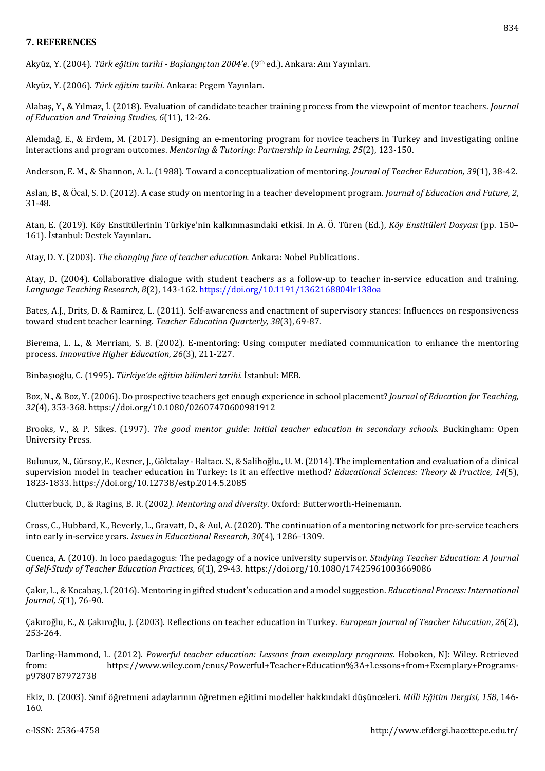## **7. REFERENCES**

Akyüz, Y. (2004). *Türk eğitim tarihi - Başlangıçtan 2004'e*. (9th ed.). Ankara: Anı Yayınları.

Akyüz, Y. (2006). *Türk eğitim tarihi*. Ankara: Pegem Yayınları.

Alabaş, Y., & Yılmaz, İ. (2018). Evaluation of candidate teacher training process from the viewpoint of mentor teachers. *Journal of Education and Training Studies, 6*(11), 12-26.

Alemdağ, E., & Erdem, M. (2017). Designing an e-mentoring program for novice teachers in Turkey and investigating online interactions and program outcomes. *Mentoring & Tutoring: Partnership in Learning, 25*(2), 123-150.

Anderson, E. M., & Shannon, A. L. (1988). Toward a conceptualization of mentoring. *Journal of Teacher Education, 39*(1), 38-42.

Aslan, B., & Öcal, S. D. (2012). A case study on mentoring in a teacher development program. *Journal of Education and Future, 2*, 31-48.

Atan, E. (2019). Köy Enstitülerinin Türkiye'nin kalkınmasındaki etkisi. In A. Ö. Türen (Ed.), *Köy Enstitüleri Dosyası* (pp. 150– 161). İstanbul: Destek Yayınları.

Atay, D. Y. (2003). *The changing face of teacher education.* Ankara: Nobel Publications.

Atay, D. (2004). Collaborative dialogue with student teachers as a follow-up to teacher in-service education and training. *Language Teaching Research, 8*(2), 143-162. <https://doi.org/10.1191/1362168804lr138oa>

Bates, A.J., Drits, D. & Ramirez, L. (2011). Self-awareness and enactment of supervisory stances: Influences on responsiveness toward student teacher learning. *Teacher Education Quarterly, 38*(3), 69-87.

Bierema, L. L., & Merriam, S. B. (2002). E-mentoring: Using computer mediated communication to enhance the mentoring process. *Innovative Higher Education*, *26*(3), 211-227.

Binbaşıoğlu, C. (1995). *Türkiye'de eğitim bilimleri tarihi.* İstanbul: MEB.

Boz, N., & Boz, Y. (2006). Do prospective teachers get enough experience in school placement? *Journal of Education for Teaching, 32*(4), 353-368. https://doi.org/10.1080/02607470600981912

Brooks, V., & P. Sikes. (1997). *The good mentor guide: Initial teacher education in secondary schools.* Buckingham: Open University Press.

Bulunuz, N., Gürsoy, E., Kesner, J., Göktalay - Baltacı. S., & Salihoğlu., U. M.(2014). The implementation and evaluation of a clinical supervision model in teacher education in Turkey: Is it an effective method? *Educational Sciences: Theory & Practice*, *14*(5), 1823-1833. https://doi.org/10.12738/estp.2014.5.2085

Clutterbuck, D., & Ragins, B. R. (2002*). Mentoring and diversity*. Oxford: Butterworth-Heinemann.

Cross, C., Hubbard, K., Beverly, L., Gravatt, D., & Aul, A.(2020). The continuation of a mentoring network for pre-service teachers into early in-service years. *Issues in Educational Research, 30*(4), 1286–1309.

Cuenca, A. (2010). In loco paedagogus: The pedagogy of a novice university supervisor. *Studying Teacher Education: A Journal of Self-Study of Teacher Education Practices, 6*(1), 29-43. https://doi.org/10.1080/17425961003669086

Çakır, L.,&Kocabaş, I.(2016). Mentoring in gifted student's education and a model suggestion. *Educational Process: International Journal, 5*(1), 76-90.

Çakıroğlu, E., & Çakıroğlu, J. (2003). Reflections on teacher education in Turkey. *European Journal of Teacher Education*, *26*(2), 253-264.

Darling-Hammond, L. (2012). *Powerful teacher education: Lessons from exemplary programs.* Hoboken, NJ: Wiley. Retrieved from: https://www.wiley.com/enus/Powerful+Teacher+Education%3A+Lessons+from+Exemplary+Programsp9780787972738

Ekiz, D. (2003). Sınıf öğretmeni adaylarının öğretmen eğitimi modeller hakkındaki düşünceleri. *Milli Eğitim Dergisi, 158*, 146- 160.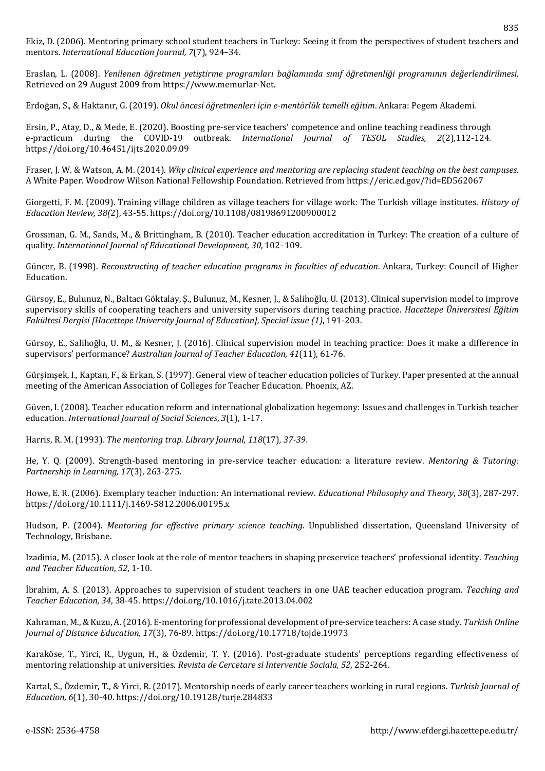Ekiz, D. (2006). Mentoring primary school student teachers in Turkey: Seeing it from the perspectives of student teachers and mentors. *International Education Journal, 7*(7), 924–34.

Eraslan, L. (2008). *Yenilenen öğretmen yetiştirme programları bağlamında sınıf öğretmenliği programının değerlendirilmesi*. Retrieved on 29 August 2009 from https://www.memurlar-Net.

Erdoğan, S., & Haktanır, G. (2019). *Okul öncesi öğretmenleri için e-mentörlük temelli eğitim*. Ankara: Pegem Akademi.

Ersin, P., Atay, D., & Mede, E. (2020). Boosting pre-service teachers' competence and online teaching readiness through e-practicum during the COVID-19 outbreak. *International Journal of TESOL Studies, 2*(2),112-124. https://doi.org/10.46451/ijts.2020.09.09

Fraser, J. W. & Watson, A. M. (2014). *Why clinical experience and mentoring are replacing student teaching on the best campuses*. A White Paper. Woodrow Wilson National Fellowship Foundation. Retrieved from https://eric.ed.gov/?id=ED562067

Giorgetti, F. M. (2009). Training village children as village teachers for village work: The Turkish village institutes. *History of Education Review, 38(*2), 43-55. https://doi.org/10.1108/08198691200900012

Grossman, G. M., Sands, M., & Brittingham, B. (2010). Teacher education accreditation in Turkey: The creation of a culture of quality. *International Journal of Educational Development, 30*, 102–109.

Güncer, B. (1998). *Reconstructing of teacher education programs in faculties of education*. Ankara, Turkey: Council of Higher Education.

Gürsoy, E., Bulunuz, N., Baltacı Göktalay, Ş., Bulunuz, M., Kesner, J., & Salihoğlu, U. (2013). Clinical supervision model to improve supervisory skills of cooperating teachers and university supervisors during teaching practice. *Hacettepe Üniversitesi Eğitim Fakültesi Dergisi [Hacettepe University Journal of Education], Special issue (1)*, 191-203.

Gürsoy, E., Salihoğlu, U. M., & Kesner, J. (2016). Clinical supervision model in teaching practice: Does it make a difference in supervisors' performance? *Australian Journal of Teacher Education, 41*(11), 61-76.

Gürşimşek, I., Kaptan, F., & Erkan, S. (1997). General view of teacher education policies of Turkey. Paper presented at the annual meeting of the American Association of Colleges for Teacher Education. Phoenix, AZ.

Güven, I. (2008). Teacher education reform and international globalization hegemony: Issues and challenges in Turkish teacher education. *International Journal of Social Sciences*, *3*(1), 1-17.

Harris, R. M. (1993). *The mentoring trap. Library Journal, 118*(17)*, 37-39.*

He, Y. Q. (2009). Strength‐based mentoring in pre‐service teacher education: a literature review. *Mentoring & Tutoring: Partnership in Learning, 17*(3), 263-275.

Howe, E. R. (2006). Exemplary teacher induction: An international review. *Educational Philosophy and Theory*, *38*(3), 287-297. https://doi.org/10.1111/j.1469-5812.2006.00195.x

Hudson, P. (2004). *Mentoring for effective primary science teaching*. Unpublished dissertation, Queensland University of Technology, Brisbane.

Izadinia, M. (2015). A closer look at the role of mentor teachers in shaping preservice teachers' professional identity. *Teaching and Teacher Education*, *52*, 1-10.

İbrahim, A. S. (2013). Approaches to supervision of student teachers in one UAE teacher education program. *Teaching and Teacher Education, 34*, 38-45. https://doi.org/10.1016/j.tate.2013.04.002

Kahraman, M.,& Kuzu, A.(2016). E-mentoring for professional development of pre-service teachers: A case study. *Turkish Online Journal of Distance Education, 17*(3), 76-89. https://doi.org/10.17718/tojde.19973

Karaköse, T., Yirci, R., Uygun, H., & Özdemir, T. Y. (2016). Post-graduate students' perceptions regarding effectiveness of mentoring relationship at universities. *Revista de Cercetare si Interventie Sociala, 52*, 252-264.

Kartal, S., Özdemir, T., & Yirci, R. (2017). Mentorship needs of early career teachers working in rural regions. *Turkish Journal of Education, 6*(1), 30-40. https://doi.org/10.19128/turje.284833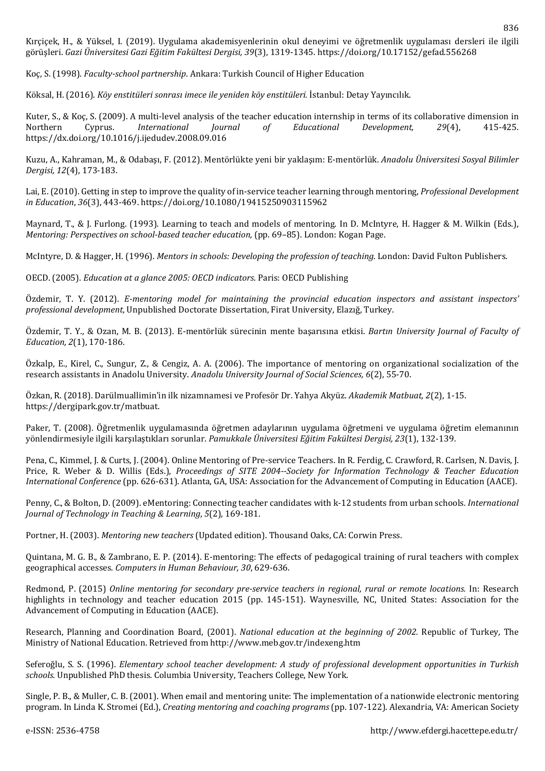Kırçiçek, H., & Yüksel, I. (2019). Uygulama akademisyenlerinin okul deneyimi ve öğretmenlik uygulaması dersleri ile ilgili görüşleri. *Gazi Üniversitesi Gazi Eğitim Fakültesi Dergisi, 39*(3), 1319-1345. https://doi.org/10.17152/gefad.556268

Koç, S. (1998). *Faculty-school partnership*. Ankara: Turkish Council of Higher Education

Köksal, H. (2016). *Köy enstitüleri sonrası imece ile yeniden köy enstitüleri.* İstanbul: Detay Yayıncılık.

Kuter, S., & Koç, S. (2009). A multi-level analysis of the teacher education internship in terms of its collaborative dimension in Northern Cyprus. *International Journal of Educational Development, 29*(4), 415-425. https://dx.doi.org/10.1016/j.ijedudev.2008.09.016

Kuzu, A., Kahraman, M., & Odabaşı, F. (2012). Mentörlükte yeni bir yaklaşım: E-mentörlük. *Anadolu Üniversitesi Sosyal Bilimler Dergisi, 12*(4), 173-183.

Lai, E. (2010). Getting in step to improve the quality of in‐service teacher learning through mentoring, *Professional Development in Education*, *36*(3), 443-469. https://doi.org[/10.1080/19415250903115962](https://doi.org/10.1080/19415250903115962)

Maynard, T., & J. Furlong. (1993). Learning to teach and models of mentoring. In D. McIntyre, H. Hagger & M. Wilkin (Eds.), *Mentoring: Perspectives on school-based teacher education,* (pp. 69–85). London: Kogan Page.

McIntyre, D. & Hagger, H. (1996). *Mentors in schools: Developing the profession of teaching*. London: David Fulton Publishers.

OECD. (2005). *Education at a glance 2005: OECD indicators*. Paris: OECD Publishing

Özdemir, T. Y. (2012). *E-mentoring model for maintaining the provincial education inspectors and assistant inspectors' professional development*, Unpublished Doctorate Dissertation, Firat University, Elazığ, Turkey.

Özdemir, T. Y., & Ozan, M. B. (2013). E-mentörlük sürecinin mente başarısına etkisi. *Bartın University Journal of Faculty of Education, 2*(1), 170-186.

Özkalp, E., Kirel, C., Sungur, Z., & Cengiz, A. A. (2006). The importance of mentoring on organizational socialization of the research assistants in Anadolu University. *Anadolu University Journal of Social Sciences, 6*(2), 55-70.

Özkan, R. (2018). Darülmuallimin'in ilk nizamnamesi ve Profesör Dr. Yahya Akyüz. *Akademik Matbuat, 2*(2), 1-15. https://dergipark.gov.tr/matbuat.

Paker, T. (2008). Öğretmenlik uygulamasında öğretmen adaylarının uygulama öğretmeni ve uygulama öğretim elemanının yönlendirmesiyle ilgili karşılaştıkları sorunlar. *Pamukkale Üniversitesi Eğitim Fakültesi Dergisi, 23*(1), 132-139.

Pena, C., Kimmel, J. & Curts, J. (2004). Online Mentoring of Pre-service Teachers. In R. Ferdig, C. Crawford, R. Carlsen, N. Davis, J. Price, R. Weber & D. Willis (Eds.), *Proceedings of SITE 2004--Society for Information Technology & Teacher Education International Conference* (pp. 626-631). Atlanta, GA, USA: Association for the Advancement of Computing in Education (AACE).

Penny, C., & Bolton, D. (2009). eMentoring: Connecting teacher candidates with k-12 students from urban schools*. International Journal of Technology in Teaching & Learning*, *5*(2), 169-181.

Portner, H. (2003). *Mentoring new teachers* (Updated edition). Thousand Oaks, CA: Corwin Press.

Quintana, M. G. B., & Zambrano, E. P. (2014). E-mentoring: The effects of pedagogical training of rural teachers with complex geographical accesses. *Computers in Human Behaviour, 30*, 629-636.

Redmond, P. (2015) *Online mentoring for secondary pre-service teachers in regional, rural or remote locations.* In: Research highlights in technology and teacher education 2015 (pp. 145-151). Waynesville, NC, United States: Association for the Advancement of Computing in Education (AACE).

Research, Planning and Coordination Board, (2001). *National education at the beginning of 2002.* Republic of Turkey*,* The Ministry of National Education. Retrieved from http://www.meb.gov.tr/indexeng.htm

Seferoğlu, S. S. (1996). *Elementary school teacher development: A study of professional development opportunities in Turkish schools*. Unpublished PhD thesis. Columbia University, Teachers College, New York.

Single, P. B., & Muller, C. B. (2001). When email and mentoring unite: The implementation of a nationwide electronic mentoring program. In Linda K. Stromei (Ed.), *Creating mentoring and coaching programs* (pp. 107-122). Alexandria, VA: American Society